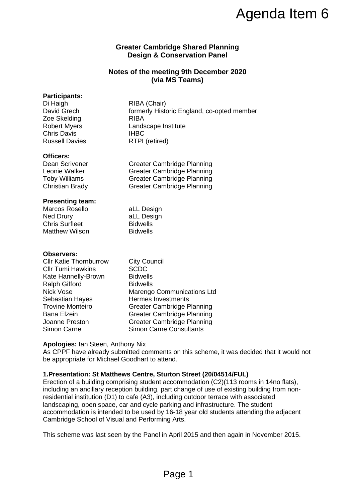# **Greater Cambridge Shared Planning Design & Conservation Panel**

# **Notes of the meeting 9th December 2020 (via MS Teams)**

## **Participants:**

| Di Haigh              | RIBA (Chair)                               |
|-----------------------|--------------------------------------------|
| David Grech           | formerly Historic England, co-opted member |
| Zoe Skelding          | <b>RIBA</b>                                |
| <b>Robert Myers</b>   | Landscape Institute                        |
| <b>Chris Davis</b>    | <b>IHBC</b>                                |
| <b>Russell Davies</b> | RTPI (retired)                             |

#### **Officers:**

Dean Scrivener Greater Cambridge Planning Leonie Walker Greater Cambridge Planning Toby Williams Greater Cambridge Planning Christian Brady Greater Cambridge Planning

### **Presenting team:**

| Marcos Rosello        | aLL Design      |
|-----------------------|-----------------|
| Ned Drury             | aLL Design      |
| <b>Chris Surfleet</b> | <b>Bidwells</b> |
| <b>Matthew Wilson</b> | <b>Bidwells</b> |

#### **Observers:**

| <b>Cllr Katie Thornburrow</b> | <b>City Council</b>               |
|-------------------------------|-----------------------------------|
| <b>Cllr Tumi Hawkins</b>      | <b>SCDC</b>                       |
| Kate Hannelly-Brown           | <b>Bidwells</b>                   |
| <b>Ralph Gifford</b>          | <b>Bidwells</b>                   |
| <b>Nick Vose</b>              | <b>Marengo Communications Ltd</b> |
| <b>Sebastian Hayes</b>        | <b>Hermes Investments</b>         |
| <b>Trovine Monteiro</b>       | <b>Greater Cambridge Planning</b> |
| <b>Bana Elzein</b>            | <b>Greater Cambridge Planning</b> |
| Joanne Preston                | <b>Greater Cambridge Planning</b> |
| Simon Carne                   | <b>Simon Carne Consultants</b>    |
|                               |                                   |

### **Apologies:** Ian Steen, Anthony Nix

As CPPF have already submitted comments on this scheme, it was decided that it would not be appropriate for Michael Goodhart to attend.

### **1.Presentation: St Matthews Centre, Sturton Street (20/04514/FUL)**

Erection of a building comprising student accommodation (C2)(113 rooms in 14no flats), including an ancillary reception building, part change of use of existing building from nonresidential institution (D1) to cafe (A3), including outdoor terrace with associated landscaping, open space, car and cycle parking and infrastructure. The student accommodation is intended to be used by 16-18 year old students attending the adjacent Cambridge School of Visual and Performing Arts. Agenda Item 6<br>
ridge Shared Planning<br>
Conservation Panel<br>
teting 9th December 2020<br>
MS Teams)<br>
<br>
by:<br>
otoric England, co-opted member<br>
therities<br>
dotice England, co-opted member<br>
therities<br>
onbridge Planning<br>
photoge Plann

This scheme was last seen by the Panel in April 2015 and then again in November 2015.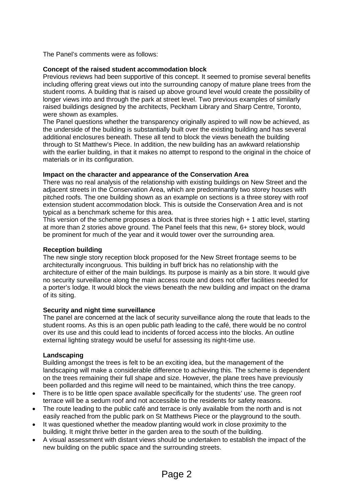The Panel's comments were as follows:

# **Concept of the raised student accommodation block**

Previous reviews had been supportive of this concept. It seemed to promise several benefits including offering great views out into the surrounding canopy of mature plane trees from the student rooms. A building that is raised up above ground level would create the possibility of longer views into and through the park at street level. Two previous examples of similarly raised buildings designed by the architects, Peckham Library and Sharp Centre, Toronto, were shown as examples.

The Panel questions whether the transparency originally aspired to will now be achieved, as the underside of the building is substantially built over the existing building and has several additional enclosures beneath. These all tend to block the views beneath the building through to St Matthew's Piece. In addition, the new building has an awkward relationship with the earlier building, in that it makes no attempt to respond to the original in the choice of materials or in its configuration.

# **Impact on the character and appearance of the Conservation Area**

There was no real analysis of the relationship with existing buildings on New Street and the adjacent streets in the Conservation Area, which are predominantly two storey houses with pitched roofs. The one building shown as an example on sections is a three storey with roof extension student accommodation block. This is outside the Conservation Area and is not typical as a benchmark scheme for this area.

This version of the scheme proposes a block that is three stories high + 1 attic level, starting at more than 2 stories above ground. The Panel feels that this new, 6+ storey block, would be prominent for much of the year and it would tower over the surrounding area.

# **Reception building**

The new single story reception block proposed for the New Street frontage seems to be architecturally incongruous. This building in buff brick has no relationship with the architecture of either of the main buildings. Its purpose is mainly as a bin store. It would give no security surveillance along the main access route and does not offer facilities needed for a porter's lodge. It would block the views beneath the new building and impact on the drama of its siting.

# **Security and night time surveillance**

The panel are concerned at the lack of security surveillance along the route that leads to the student rooms. As this is an open public path leading to the café, there would be no control over its use and this could lead to incidents of forced access into the blocks. An outline external lighting strategy would be useful for assessing its night-time use.

# **Landscaping**

Building amongst the trees is felt to be an exciting idea, but the management of the landscaping will make a considerable difference to achieving this. The scheme is dependent on the trees remaining their full shape and size. However, the plane trees have previously been pollarded and this regime will need to be maintained, which thins the tree canopy.

- There is to be little open space available specifically for the students' use. The green roof terrace will be a sedum roof and not accessible to the residents for safety reasons.
- The route leading to the public café and terrace is only available from the north and is not easily reached from the public park on St Matthews Piece or the playground to the south.
- It was questioned whether the meadow planting would work in close proximity to the building. It might thrive better in the garden area to the south of the building.
- A visual assessment with distant views should be undertaken to establish the impact of the new building on the public space and the surrounding streets.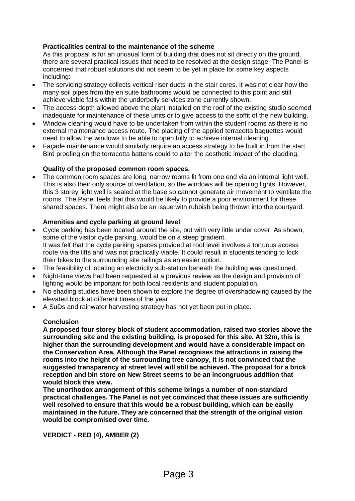# **Practicalities central to the maintenance of the scheme**

As this proposal is for an unusual form of building that does not sit directly on the ground, there are several practical issues that need to be resolved at the design stage. The Panel is concerned that robust solutions did not seem to be yet in place for some key aspects including:

- The servicing strategy collects vertical riser ducts in the stair cores. It was not clear how the many soil pipes from the en suite bathrooms would be connected to this point and still achieve viable falls within the underbelly services zone currently shown.
- The access depth allowed above the plant installed on the roof of the existing studio seemed inadequate for maintenance of these units or to give access to the soffit of the new building.
- Window cleaning would have to be undertaken from within the student rooms as there is no external maintenance access route. The placing of the applied terracotta baguettes would need to allow the windows to be able to open fully to achieve internal cleaning.
- Façade maintenance would similarly require an access strategy to be built in from the start. Bird proofing on the terracotta battens could to alter the aesthetic impact of the cladding.

### **Quality of the proposed common room spaces.**

• The common room spaces are long, narrow rooms lit from one end via an internal light well. This is also their only source of ventilation, so the windows will be opening lights. However, this 3 storey light well is sealed at the base so cannot generate air movement to ventilate the rooms. The Panel feels that this would be likely to provide a poor environment for these shared spaces. There might also be an issue with rubbish being thrown into the courtyard.

### **Amenities and cycle parking at ground level**

- Cycle parking has been located around the site, but with very little under cover. As shown, some of the visitor cycle parking, would be on a steep gradient. It was felt that the cycle parking spaces provided at roof level involves a tortuous access route via the lifts and was not practically viable. It could result in students tending to lock their bikes to the surrounding site railings as an easier option.
- The feasibility of locating an electricity sub-station beneath the building was questioned.
- Night-time views had been requested at a previous review as the design and provision of lighting would be important for both local residents and student population.
- No shading studies have been shown to explore the degree of overshadowing caused by the elevated block at different times of the year.
- A SuDs and rainwater harvesting strategy has not yet been put in place.

### **Conclusion**

**A proposed four storey block of student accommodation, raised two stories above the surrounding site and the existing building, is proposed for this site. At 32m, this is higher than the surrounding development and would have a considerable impact on the Conservation Area. Although the Panel recognises the attractions in raising the rooms into the height of the surrounding tree canopy, it is not convinced that the suggested transparency at street level will still be achieved. The proposal for a brick reception and bin store on New Street seems to be an incongruous addition that would block this view.**

**The unorthodox arrangement of this scheme brings a number of non-standard practical challenges. The Panel is not yet convinced that these issues are sufficiently well resolved to ensure that this would be a robust building, which can be easily maintained in the future. They are concerned that the strength of the original vision would be compromised over time.**

**VERDICT - RED (4), AMBER (2)**